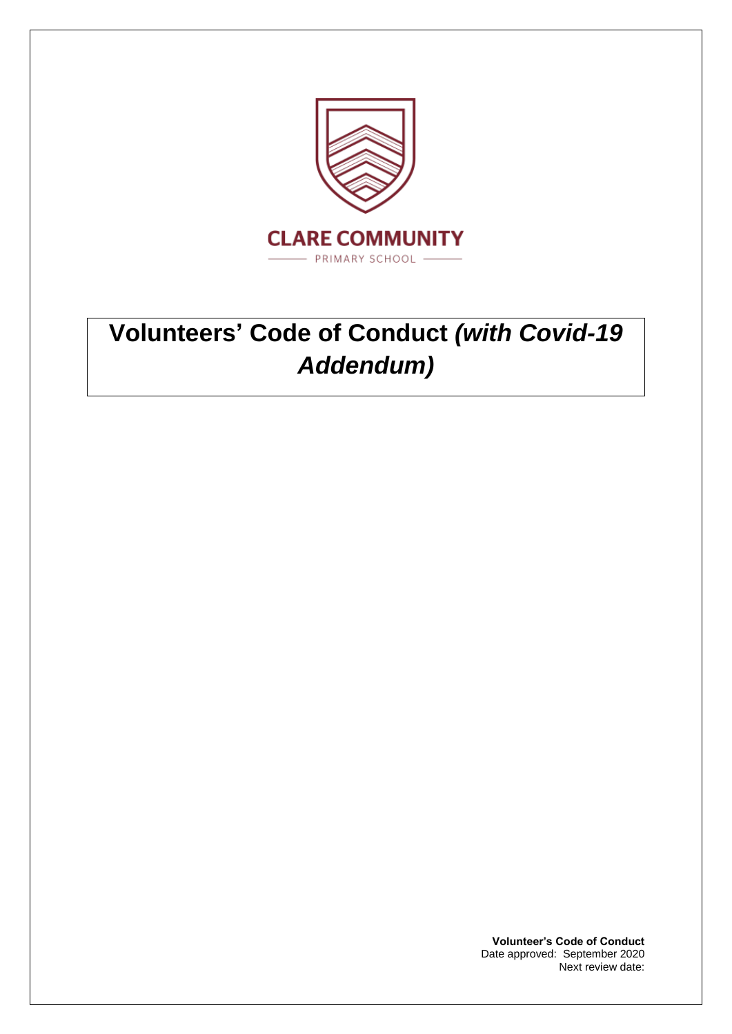

# **Volunteers' Code of Conduct** *(with Covid-19 Addendum)*

**Volunteer's Code of Conduct** Date approved: September 2020 Next review date: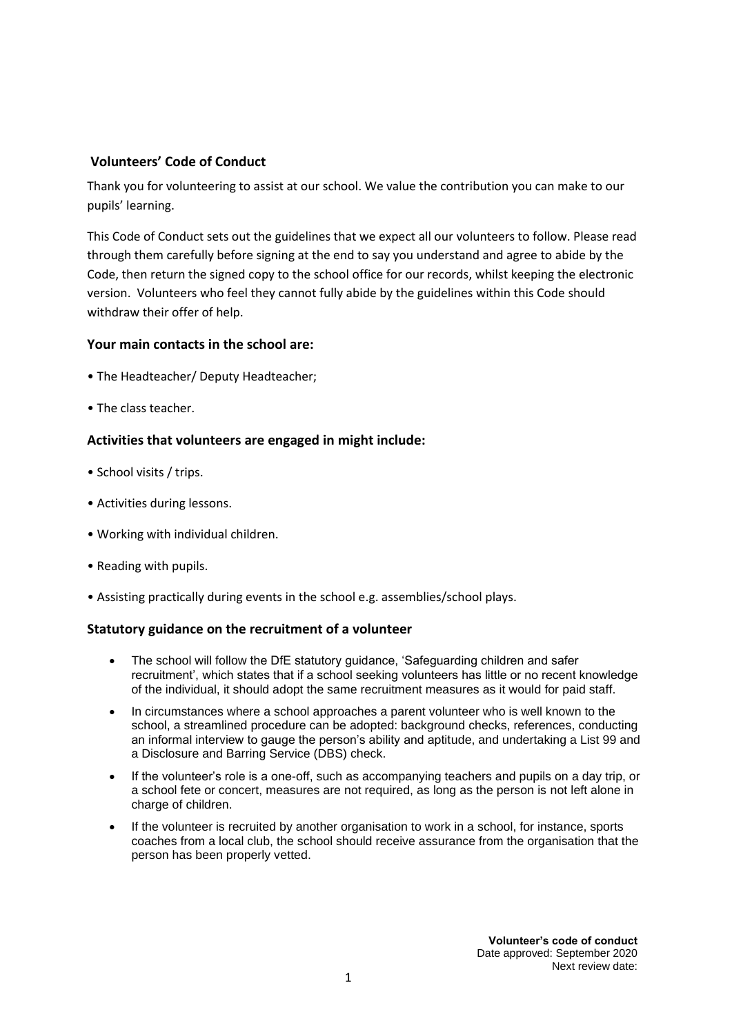## **Volunteers' Code of Conduct**

Thank you for volunteering to assist at our school. We value the contribution you can make to our pupils' learning.

This Code of Conduct sets out the guidelines that we expect all our volunteers to follow. Please read through them carefully before signing at the end to say you understand and agree to abide by the Code, then return the signed copy to the school office for our records, whilst keeping the electronic version. Volunteers who feel they cannot fully abide by the guidelines within this Code should withdraw their offer of help.

## **Your main contacts in the school are:**

- The Headteacher/ Deputy Headteacher;
- The class teacher.

## **Activities that volunteers are engaged in might include:**

- School visits / trips.
- Activities during lessons.
- Working with individual children.
- Reading with pupils.
- Assisting practically during events in the school e.g. assemblies/school plays.

#### **Statutory guidance on the recruitment of a volunteer**

- The school will follow the DfE statutory guidance, 'Safeguarding children and safer recruitment', which states that if a school seeking volunteers has little or no recent knowledge of the individual, it should adopt the same recruitment measures as it would for paid staff.
- In circumstances where a school approaches a parent volunteer who is well known to the school, a streamlined procedure can be adopted: background checks, references, conducting an informal interview to gauge the person's ability and aptitude, and undertaking a List 99 and a Disclosure and Barring Service (DBS) check.
- If the volunteer's role is a one-off, such as accompanying teachers and pupils on a day trip, or a school fete or concert, measures are not required, as long as the person is not left alone in charge of children.
- If the volunteer is recruited by another organisation to work in a school, for instance, sports coaches from a local club, the school should receive assurance from the organisation that the person has been properly vetted.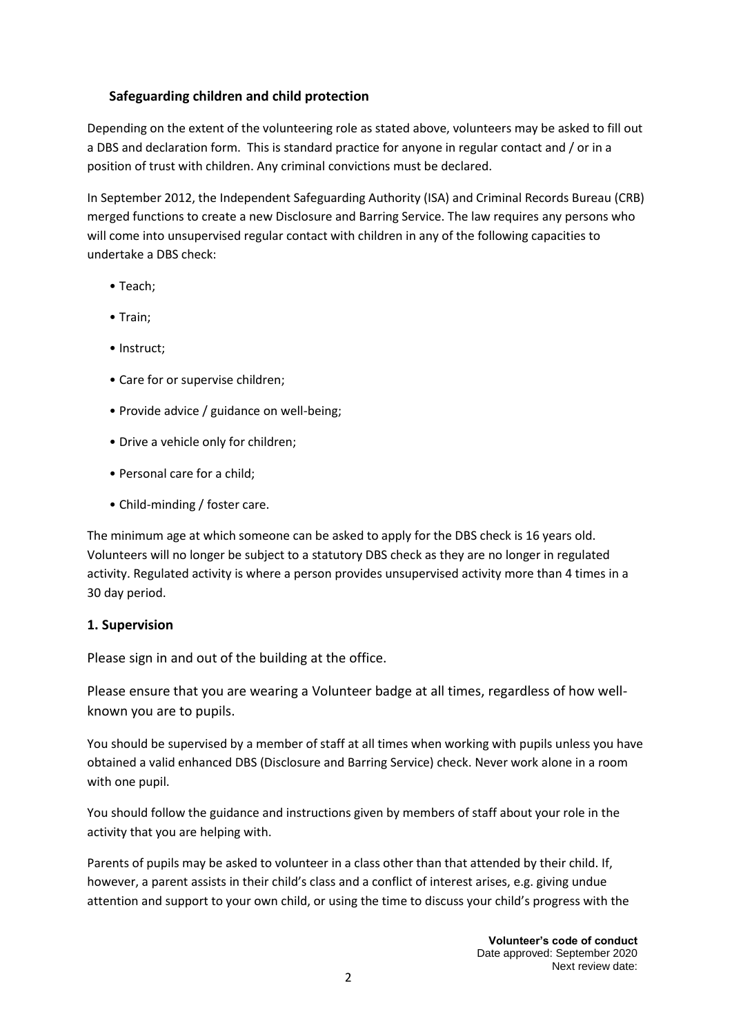# **Safeguarding children and child protection**

Depending on the extent of the volunteering role as stated above, volunteers may be asked to fill out a DBS and declaration form. This is standard practice for anyone in regular contact and / or in a position of trust with children. Any criminal convictions must be declared.

In September 2012, the Independent Safeguarding Authority (ISA) and Criminal Records Bureau (CRB) merged functions to create a new Disclosure and Barring Service. The law requires any persons who will come into unsupervised regular contact with children in any of the following capacities to undertake a DBS check:

- Teach;
- Train;
- Instruct:
- Care for or supervise children;
- Provide advice / guidance on well-being;
- Drive a vehicle only for children;
- Personal care for a child;
- Child-minding / foster care.

The minimum age at which someone can be asked to apply for the DBS check is 16 years old. Volunteers will no longer be subject to a statutory DBS check as they are no longer in regulated activity. Regulated activity is where a person provides unsupervised activity more than 4 times in a 30 day period.

## **1. Supervision**

Please sign in and out of the building at the office.

Please ensure that you are wearing a Volunteer badge at all times, regardless of how wellknown you are to pupils.

You should be supervised by a member of staff at all times when working with pupils unless you have obtained a valid enhanced DBS (Disclosure and Barring Service) check. Never work alone in a room with one pupil.

You should follow the guidance and instructions given by members of staff about your role in the activity that you are helping with.

Parents of pupils may be asked to volunteer in a class other than that attended by their child. If, however, a parent assists in their child's class and a conflict of interest arises, e.g. giving undue attention and support to your own child, or using the time to discuss your child's progress with the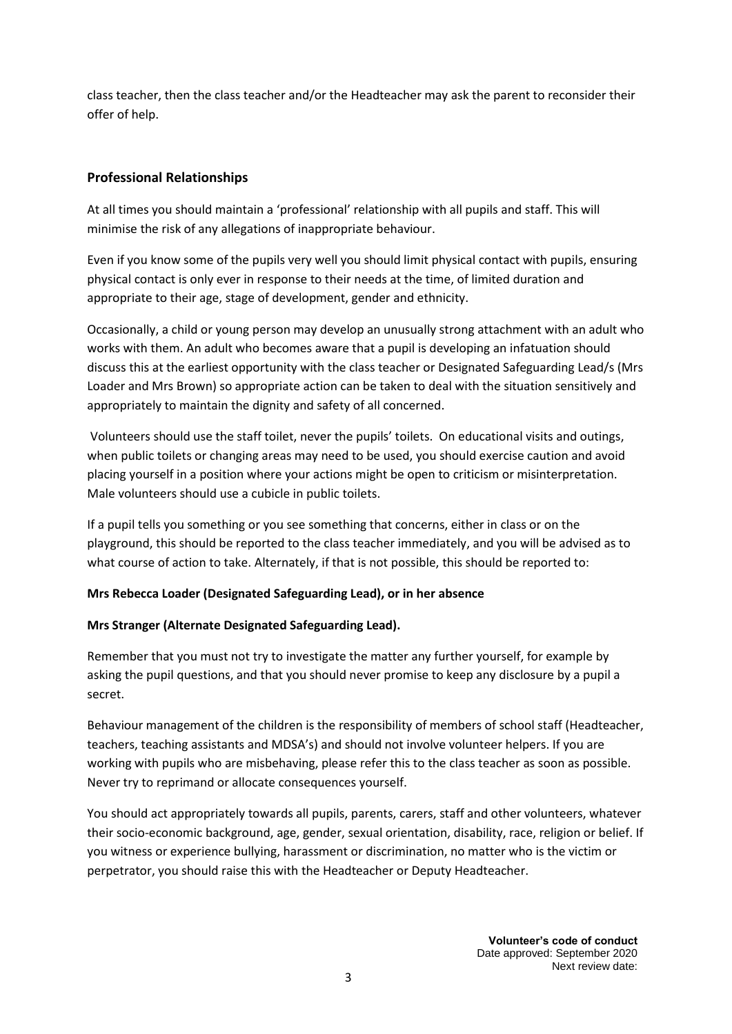class teacher, then the class teacher and/or the Headteacher may ask the parent to reconsider their offer of help.

# **Professional Relationships**

At all times you should maintain a 'professional' relationship with all pupils and staff. This will minimise the risk of any allegations of inappropriate behaviour.

Even if you know some of the pupils very well you should limit physical contact with pupils, ensuring physical contact is only ever in response to their needs at the time, of limited duration and appropriate to their age, stage of development, gender and ethnicity.

Occasionally, a child or young person may develop an unusually strong attachment with an adult who works with them. An adult who becomes aware that a pupil is developing an infatuation should discuss this at the earliest opportunity with the class teacher or Designated Safeguarding Lead/s (Mrs Loader and Mrs Brown) so appropriate action can be taken to deal with the situation sensitively and appropriately to maintain the dignity and safety of all concerned.

Volunteers should use the staff toilet, never the pupils' toilets. On educational visits and outings, when public toilets or changing areas may need to be used, you should exercise caution and avoid placing yourself in a position where your actions might be open to criticism or misinterpretation. Male volunteers should use a cubicle in public toilets.

If a pupil tells you something or you see something that concerns, either in class or on the playground, this should be reported to the class teacher immediately, and you will be advised as to what course of action to take. Alternately, if that is not possible, this should be reported to:

## **Mrs Rebecca Loader (Designated Safeguarding Lead), or in her absence**

## **Mrs Stranger (Alternate Designated Safeguarding Lead).**

Remember that you must not try to investigate the matter any further yourself, for example by asking the pupil questions, and that you should never promise to keep any disclosure by a pupil a secret.

Behaviour management of the children is the responsibility of members of school staff (Headteacher, teachers, teaching assistants and MDSA's) and should not involve volunteer helpers. If you are working with pupils who are misbehaving, please refer this to the class teacher as soon as possible. Never try to reprimand or allocate consequences yourself.

You should act appropriately towards all pupils, parents, carers, staff and other volunteers, whatever their socio-economic background, age, gender, sexual orientation, disability, race, religion or belief. If you witness or experience bullying, harassment or discrimination, no matter who is the victim or perpetrator, you should raise this with the Headteacher or Deputy Headteacher.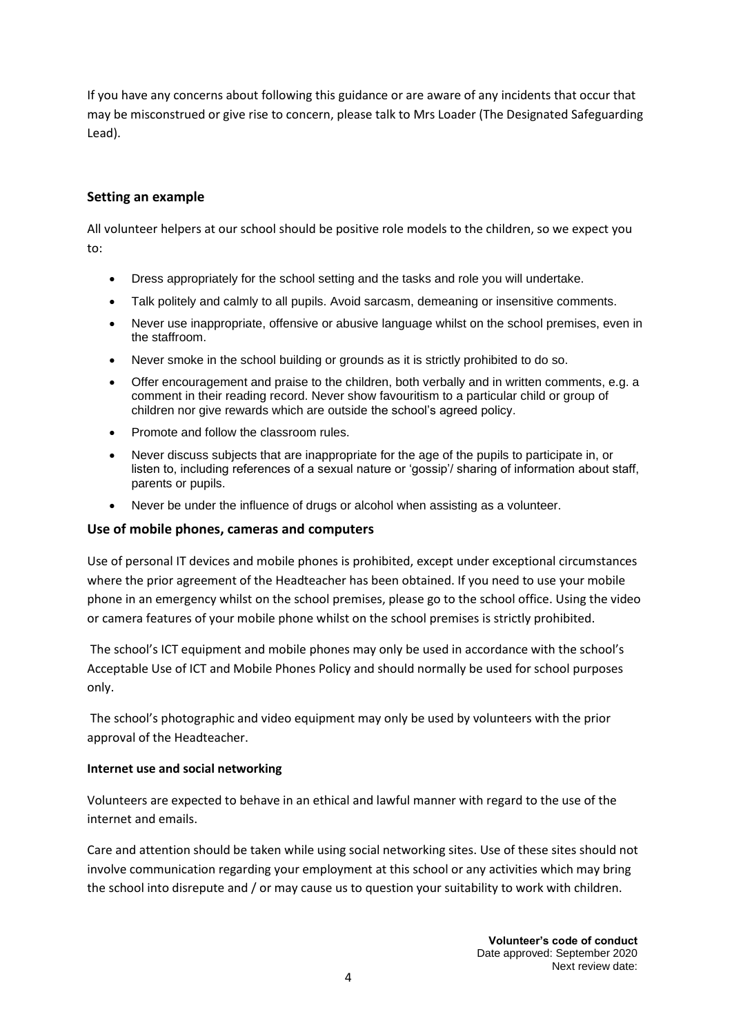If you have any concerns about following this guidance or are aware of any incidents that occur that may be misconstrued or give rise to concern, please talk to Mrs Loader (The Designated Safeguarding Lead).

# **Setting an example**

All volunteer helpers at our school should be positive role models to the children, so we expect you to:

- Dress appropriately for the school setting and the tasks and role you will undertake.
- Talk politely and calmly to all pupils. Avoid sarcasm, demeaning or insensitive comments.
- Never use inappropriate, offensive or abusive language whilst on the school premises, even in the staffroom.
- Never smoke in the school building or grounds as it is strictly prohibited to do so.
- Offer encouragement and praise to the children, both verbally and in written comments, e.g. a comment in their reading record. Never show favouritism to a particular child or group of children nor give rewards which are outside the school's agreed policy.
- Promote and follow the classroom rules.
- Never discuss subjects that are inappropriate for the age of the pupils to participate in, or listen to, including references of a sexual nature or 'gossip'/ sharing of information about staff, parents or pupils.
- Never be under the influence of drugs or alcohol when assisting as a volunteer.

## **Use of mobile phones, cameras and computers**

Use of personal IT devices and mobile phones is prohibited, except under exceptional circumstances where the prior agreement of the Headteacher has been obtained. If you need to use your mobile phone in an emergency whilst on the school premises, please go to the school office. Using the video or camera features of your mobile phone whilst on the school premises is strictly prohibited.

The school's ICT equipment and mobile phones may only be used in accordance with the school's Acceptable Use of ICT and Mobile Phones Policy and should normally be used for school purposes only.

The school's photographic and video equipment may only be used by volunteers with the prior approval of the Headteacher.

#### **Internet use and social networking**

Volunteers are expected to behave in an ethical and lawful manner with regard to the use of the internet and emails.

Care and attention should be taken while using social networking sites. Use of these sites should not involve communication regarding your employment at this school or any activities which may bring the school into disrepute and / or may cause us to question your suitability to work with children.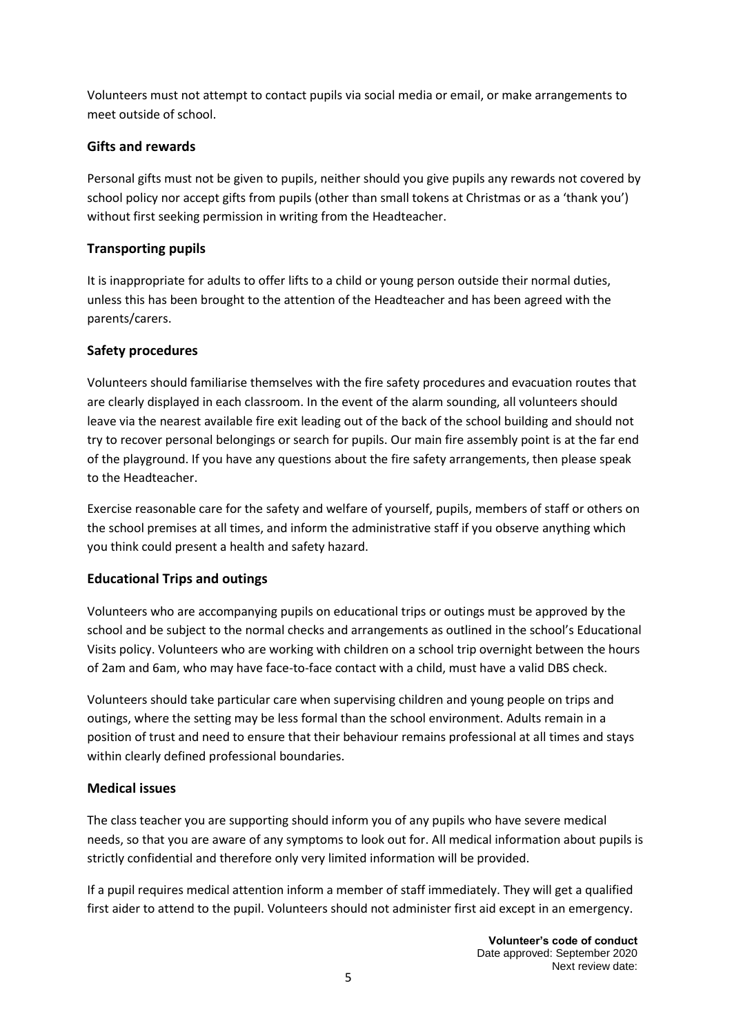Volunteers must not attempt to contact pupils via social media or email, or make arrangements to meet outside of school.

# **Gifts and rewards**

Personal gifts must not be given to pupils, neither should you give pupils any rewards not covered by school policy nor accept gifts from pupils (other than small tokens at Christmas or as a 'thank you') without first seeking permission in writing from the Headteacher.

# **Transporting pupils**

It is inappropriate for adults to offer lifts to a child or young person outside their normal duties, unless this has been brought to the attention of the Headteacher and has been agreed with the parents/carers.

## **Safety procedures**

Volunteers should familiarise themselves with the fire safety procedures and evacuation routes that are clearly displayed in each classroom. In the event of the alarm sounding, all volunteers should leave via the nearest available fire exit leading out of the back of the school building and should not try to recover personal belongings or search for pupils. Our main fire assembly point is at the far end of the playground. If you have any questions about the fire safety arrangements, then please speak to the Headteacher.

Exercise reasonable care for the safety and welfare of yourself, pupils, members of staff or others on the school premises at all times, and inform the administrative staff if you observe anything which you think could present a health and safety hazard.

# **Educational Trips and outings**

Volunteers who are accompanying pupils on educational trips or outings must be approved by the school and be subject to the normal checks and arrangements as outlined in the school's Educational Visits policy. Volunteers who are working with children on a school trip overnight between the hours of 2am and 6am, who may have face-to-face contact with a child, must have a valid DBS check.

Volunteers should take particular care when supervising children and young people on trips and outings, where the setting may be less formal than the school environment. Adults remain in a position of trust and need to ensure that their behaviour remains professional at all times and stays within clearly defined professional boundaries.

## **Medical issues**

The class teacher you are supporting should inform you of any pupils who have severe medical needs, so that you are aware of any symptoms to look out for. All medical information about pupils is strictly confidential and therefore only very limited information will be provided.

If a pupil requires medical attention inform a member of staff immediately. They will get a qualified first aider to attend to the pupil. Volunteers should not administer first aid except in an emergency.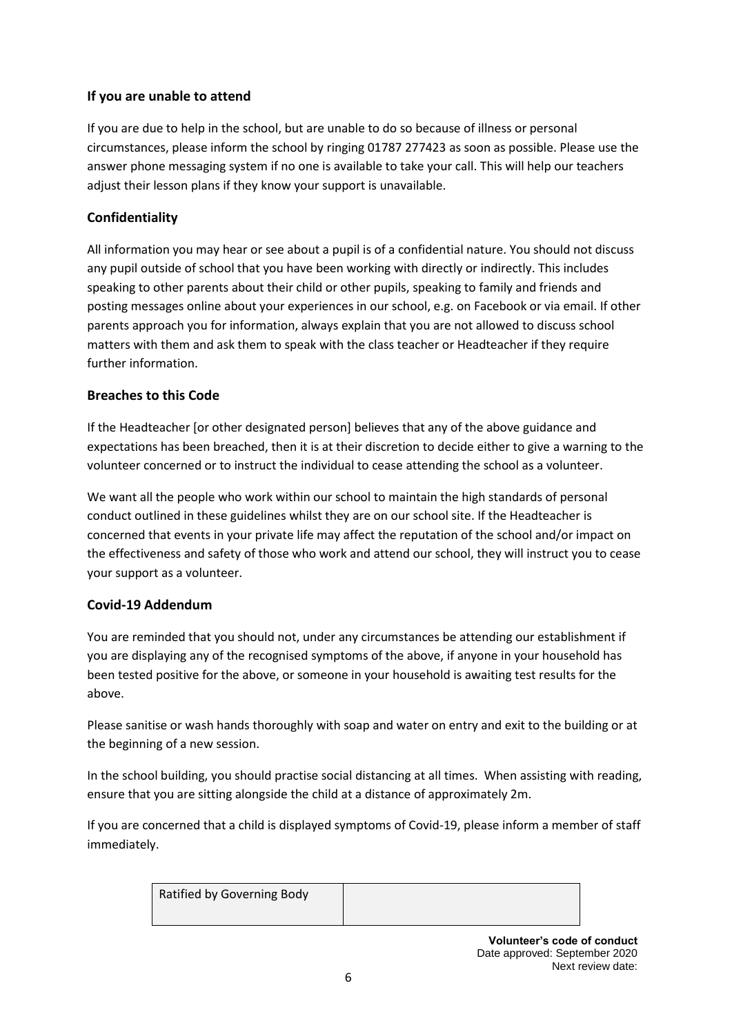# **If you are unable to attend**

If you are due to help in the school, but are unable to do so because of illness or personal circumstances, please inform the school by ringing 01787 277423 as soon as possible. Please use the answer phone messaging system if no one is available to take your call. This will help our teachers adjust their lesson plans if they know your support is unavailable.

# **Confidentiality**

All information you may hear or see about a pupil is of a confidential nature. You should not discuss any pupil outside of school that you have been working with directly or indirectly. This includes speaking to other parents about their child or other pupils, speaking to family and friends and posting messages online about your experiences in our school, e.g. on Facebook or via email. If other parents approach you for information, always explain that you are not allowed to discuss school matters with them and ask them to speak with the class teacher or Headteacher if they require further information.

## **Breaches to this Code**

If the Headteacher [or other designated person] believes that any of the above guidance and expectations has been breached, then it is at their discretion to decide either to give a warning to the volunteer concerned or to instruct the individual to cease attending the school as a volunteer.

We want all the people who work within our school to maintain the high standards of personal conduct outlined in these guidelines whilst they are on our school site. If the Headteacher is concerned that events in your private life may affect the reputation of the school and/or impact on the effectiveness and safety of those who work and attend our school, they will instruct you to cease your support as a volunteer.

## **Covid-19 Addendum**

You are reminded that you should not, under any circumstances be attending our establishment if you are displaying any of the recognised symptoms of the above, if anyone in your household has been tested positive for the above, or someone in your household is awaiting test results for the above.

Please sanitise or wash hands thoroughly with soap and water on entry and exit to the building or at the beginning of a new session.

In the school building, you should practise social distancing at all times. When assisting with reading, ensure that you are sitting alongside the child at a distance of approximately 2m.

If you are concerned that a child is displayed symptoms of Covid-19, please inform a member of staff immediately.

| Ratified by Governing Body |  |
|----------------------------|--|
|                            |  |

**Volunteer's code of conduct** Date approved: September 2020 Next review date: